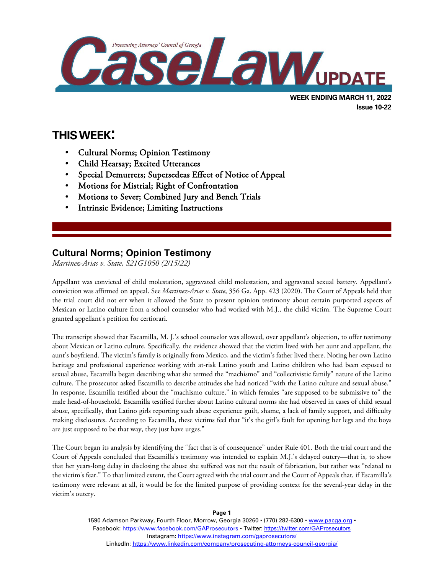

**Issue 10-22**

# **THIS WEEK:**

l

- Cultural Norms; Opinion Testimony
- Child Hearsay; Excited Utterances
- Special Demurrers; Supersedeas Effect of Notice of Appeal
- Motions for Mistrial; Right of Confrontation
- Motions to Sever; Combined Jury and Bench Trials
- Intrinsic Evidence; Limiting Instructions

## **Cultural Norms; Opinion Testimony**

*Martinez-Arias v. State, S21G1050 (2/15/22)*

Appellant was convicted of child molestation, aggravated child molestation, and aggravated sexual battery. Appellant's conviction was affirmed on appeal. See *Martinez-Arias v. State*, 356 Ga. App. 423 (2020). The Court of Appeals held that the trial court did not err when it allowed the State to present opinion testimony about certain purported aspects of Mexican or Latino culture from a school counselor who had worked with M.J., the child victim. The Supreme Court granted appellant's petition for certiorari.

The transcript showed that Escamilla, M. J.'s school counselor was allowed, over appellant's objection, to offer testimony about Mexican or Latino culture. Specifically, the evidence showed that the victim lived with her aunt and appellant, the aunt's boyfriend. The victim's family is originally from Mexico, and the victim's father lived there. Noting her own Latino heritage and professional experience working with at-risk Latino youth and Latino children who had been exposed to sexual abuse, Escamilla began describing what she termed the "machismo" and "collectivistic family" nature of the Latino culture. The prosecutor asked Escamilla to describe attitudes she had noticed "with the Latino culture and sexual abuse." In response, Escamilla testified about the "machismo culture," in which females "are supposed to be submissive to" the male head-of-household. Escamilla testified further about Latino cultural norms she had observed in cases of child sexual abuse, specifically, that Latino girls reporting such abuse experience guilt, shame, a lack of family support, and difficulty making disclosures. According to Escamilla, these victims feel that "it's the girl's fault for opening her legs and the boys are just supposed to be that way, they just have urges."

The Court began its analysis by identifying the "fact that is of consequence" under Rule 401. Both the trial court and the Court of Appeals concluded that Escamilla's testimony was intended to explain M.J.'s delayed outcry—that is, to show that her years-long delay in disclosing the abuse she suffered was not the result of fabrication, but rather was "related to the victim's fear." To that limited extent, the Court agreed with the trial court and the Court of Appeals that, if Escamilla's testimony were relevant at all, it would be for the limited purpose of providing context for the several-year delay in the victim's outcry.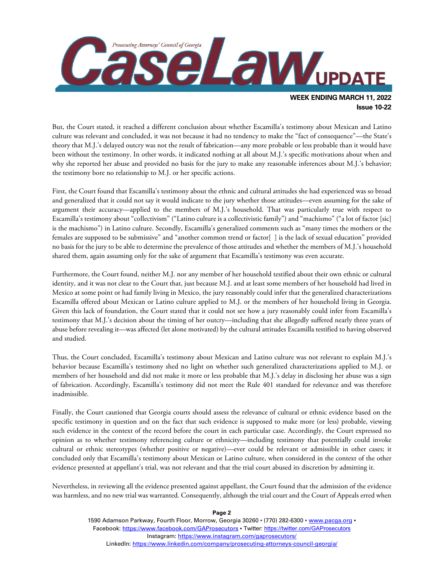

**Issue 10-22**

But, the Court stated, it reached a different conclusion about whether Escamilla's testimony about Mexican and Latino culture was relevant and concluded, it was not because it had no tendency to make the "fact of consequence"—the State's theory that M.J.'s delayed outcry was not the result of fabrication—any more probable or less probable than it would have been without the testimony. In other words, it indicated nothing at all about M.J.'s specific motivations about when and why she reported her abuse and provided no basis for the jury to make any reasonable inferences about M.J.'s behavior; the testimony bore no relationship to M.J. or her specific actions.

First, the Court found that Escamilla's testimony about the ethnic and cultural attitudes she had experienced was so broad and generalized that it could not say it would indicate to the jury whether those attitudes—even assuming for the sake of argument their accuracy—applied to the members of M.J.'s household. That was particularly true with respect to Escamilla's testimony about "collectivism" ("Latino culture is a collectivistic family") and "machismo" ("a lot of factor [sic] is the machismo") in Latino culture. Secondly, Escamilla's generalized comments such as "many times the mothers or the females are supposed to be submissive" and "another common trend or factor[ ] is the lack of sexual education" provided no basis for the jury to be able to determine the prevalence of those attitudes and whether the members of M.J.'s household shared them, again assuming only for the sake of argument that Escamilla's testimony was even accurate.

Furthermore, the Court found, neither M.J. nor any member of her household testified about their own ethnic or cultural identity, and it was not clear to the Court that, just because M.J. and at least some members of her household had lived in Mexico at some point or had family living in Mexico, the jury reasonably could infer that the generalized characterizations Escamilla offered about Mexican or Latino culture applied to M.J. or the members of her household living in Georgia. Given this lack of foundation, the Court stated that it could not see how a jury reasonably could infer from Escamilla's testimony that M.J.'s decision about the timing of her outcry—including that she allegedly suffered nearly three years of abuse before revealing it—was affected (let alone motivated) by the cultural attitudes Escamilla testified to having observed and studied.

Thus, the Court concluded, Escamilla's testimony about Mexican and Latino culture was not relevant to explain M.J.'s behavior because Escamilla's testimony shed no light on whether such generalized characterizations applied to M.J. or members of her household and did not make it more or less probable that M.J.'s delay in disclosing her abuse was a sign of fabrication. Accordingly, Escamilla's testimony did not meet the Rule 401 standard for relevance and was therefore inadmissible.

Finally, the Court cautioned that Georgia courts should assess the relevance of cultural or ethnic evidence based on the specific testimony in question and on the fact that such evidence is supposed to make more (or less) probable, viewing such evidence in the context of the record before the court in each particular case. Accordingly, the Court expressed no opinion as to whether testimony referencing culture or ethnicity—including testimony that potentially could invoke cultural or ethnic stereotypes (whether positive or negative)—ever could be relevant or admissible in other cases; it concluded only that Escamilla's testimony about Mexican or Latino culture, when considered in the context of the other evidence presented at appellant's trial, was not relevant and that the trial court abused its discretion by admitting it.

Nevertheless, in reviewing all the evidence presented against appellant, the Court found that the admission of the evidence was harmless, and no new trial was warranted. Consequently, although the trial court and the Court of Appeals erred when

#### 1590 Adamson Parkway, Fourth Floor, Morrow, Georgia 30260 · (770) 282-6300 · [www.pacga.org](http://www.pacga.org/) · Facebook:<https://www.facebook.com/GAProsecutors> . Twitter[: https://twitter.com/GAProsecutors](https://twitter.com/GAProsecutors) Instagram[: https://www.instagram.com/gaprosecutors/](https://www.instagram.com/gaprosecutors/) LinkedIn:<https://www.linkedin.com/company/prosecuting-attorneys-council-georgia/>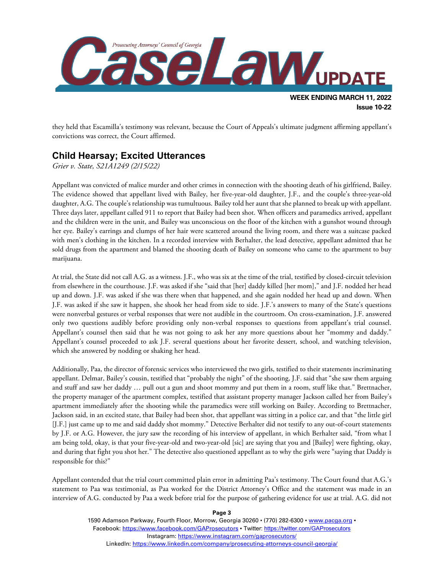

they held that Escamilla's testimony was relevant, because the Court of Appeals's ultimate judgment affirming appellant's convictions was correct, the Court affirmed.

### **Child Hearsay; Excited Utterances**

*Grier v. State, S21A1249 (2/15/22)*

Appellant was convicted of malice murder and other crimes in connection with the shooting death of his girlfriend, Bailey. The evidence showed that appellant lived with Bailey, her five-year-old daughter, J.F., and the couple's three-year-old daughter, A.G. The couple's relationship was tumultuous. Bailey told her aunt that she planned to break up with appellant. Three days later, appellant called 911 to report that Bailey had been shot. When officers and paramedics arrived, appellant and the children were in the unit, and Bailey was unconscious on the floor of the kitchen with a gunshot wound through her eye. Bailey's earrings and clumps of her hair were scattered around the living room, and there was a suitcase packed with men's clothing in the kitchen. In a recorded interview with Berhalter, the lead detective, appellant admitted that he sold drugs from the apartment and blamed the shooting death of Bailey on someone who came to the apartment to buy marijuana.

At trial, the State did not call A.G. as a witness. J.F., who was six at the time of the trial, testified by closed-circuit television from elsewhere in the courthouse. J.F. was asked if she "said that [her] daddy killed [her mom]," and J.F. nodded her head up and down. J.F. was asked if she was there when that happened, and she again nodded her head up and down. When J.F. was asked if she saw it happen, she shook her head from side to side. J.F.'s answers to many of the State's questions were nonverbal gestures or verbal responses that were not audible in the courtroom. On cross-examination, J.F. answered only two questions audibly before providing only non-verbal responses to questions from appellant's trial counsel. Appellant's counsel then said that he was not going to ask her any more questions about her "mommy and daddy." Appellant's counsel proceeded to ask J.F. several questions about her favorite dessert, school, and watching television, which she answered by nodding or shaking her head.

Additionally, Paa, the director of forensic services who interviewed the two girls, testified to their statements incriminating appellant. Delmar, Bailey's cousin, testified that "probably the night" of the shooting, J.F. said that "she saw them arguing and stuff and saw her daddy … pull out a gun and shoot mommy and put them in a room, stuff like that." Brettnacher, the property manager of the apartment complex, testified that assistant property manager Jackson called her from Bailey's apartment immediately after the shooting while the paramedics were still working on Bailey. According to Brettnacher, Jackson said, in an excited state, that Bailey had been shot, that appellant was sitting in a police car, and that "the little girl [J.F.] just came up to me and said daddy shot mommy." Detective Berhalter did not testify to any out-of-court statements by J.F. or A.G. However, the jury saw the recording of his interview of appellant, in which Berhalter said, "from what I am being told, okay, is that your five-year-old and two-year-old [sic] are saying that you and [Bailey] were fighting, okay, and during that fight you shot her." The detective also questioned appellant as to why the girls were "saying that Daddy is responsible for this?"

Appellant contended that the trial court committed plain error in admitting Paa's testimony. The Court found that A.G.'s statement to Paa was testimonial, as Paa worked for the District Attorney's Office and the statement was made in an interview of A.G. conducted by Paa a week before trial for the purpose of gathering evidence for use at trial. A.G. did not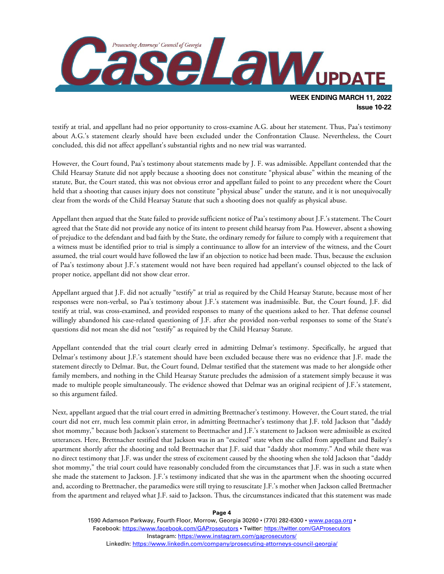

**Issue 10-22**

testify at trial, and appellant had no prior opportunity to cross-examine A.G. about her statement. Thus, Paa's testimony about A.G.'s statement clearly should have been excluded under the Confrontation Clause. Nevertheless, the Court concluded, this did not affect appellant's substantial rights and no new trial was warranted.

However, the Court found, Paa's testimony about statements made by J. F. was admissible. Appellant contended that the Child Hearsay Statute did not apply because a shooting does not constitute "physical abuse" within the meaning of the statute, But, the Court stated, this was not obvious error and appellant failed to point to any precedent where the Court held that a shooting that causes injury does not constitute "physical abuse" under the statute, and it is not unequivocally clear from the words of the Child Hearsay Statute that such a shooting does not qualify as physical abuse.

Appellant then argued that the State failed to provide sufficient notice of Paa's testimony about J.F.'s statement. The Court agreed that the State did not provide any notice of its intent to present child hearsay from Paa. However, absent a showing of prejudice to the defendant and bad faith by the State, the ordinary remedy for failure to comply with a requirement that a witness must be identified prior to trial is simply a continuance to allow for an interview of the witness, and the Court assumed, the trial court would have followed the law if an objection to notice had been made. Thus, because the exclusion of Paa's testimony about J.F.'s statement would not have been required had appellant's counsel objected to the lack of proper notice, appellant did not show clear error.

Appellant argued that J.F. did not actually "testify" at trial as required by the Child Hearsay Statute, because most of her responses were non-verbal, so Paa's testimony about J.F.'s statement was inadmissible. But, the Court found, J.F. did testify at trial, was cross-examined, and provided responses to many of the questions asked to her. That defense counsel willingly abandoned his case-related questioning of J.F. after she provided non-verbal responses to some of the State's questions did not mean she did not "testify" as required by the Child Hearsay Statute.

Appellant contended that the trial court clearly erred in admitting Delmar's testimony. Specifically, he argued that Delmar's testimony about J.F.'s statement should have been excluded because there was no evidence that J.F. made the statement directly to Delmar. But, the Court found, Delmar testified that the statement was made to her alongside other family members, and nothing in the Child Hearsay Statute precludes the admission of a statement simply because it was made to multiple people simultaneously. The evidence showed that Delmar was an original recipient of J.F.'s statement, so this argument failed.

Next, appellant argued that the trial court erred in admitting Brettnacher's testimony. However, the Court stated, the trial court did not err, much less commit plain error, in admitting Brettnacher's testimony that J.F. told Jackson that "daddy shot mommy," because both Jackson's statement to Brettnacher and J.F.'s statement to Jackson were admissible as excited utterances. Here, Brettnacher testified that Jackson was in an "excited" state when she called from appellant and Bailey's apartment shortly after the shooting and told Brettnacher that J.F. said that "daddy shot mommy." And while there was no direct testimony that J.F. was under the stress of excitement caused by the shooting when she told Jackson that "daddy shot mommy," the trial court could have reasonably concluded from the circumstances that J.F. was in such a state when she made the statement to Jackson. J.F.'s testimony indicated that she was in the apartment when the shooting occurred and, according to Brettnacher, the paramedics were still trying to resuscitate J.F.'s mother when Jackson called Brettnacher from the apartment and relayed what J.F. said to Jackson. Thus, the circumstances indicated that this statement was made

**Page 4**

1590 Adamson Parkway, Fourth Floor, Morrow, Georgia 30260 · (770) 282-6300 · [www.pacga.org](http://www.pacga.org/) · Facebook:<https://www.facebook.com/GAProsecutors> . Twitter[: https://twitter.com/GAProsecutors](https://twitter.com/GAProsecutors) Instagram[: https://www.instagram.com/gaprosecutors/](https://www.instagram.com/gaprosecutors/) LinkedIn:<https://www.linkedin.com/company/prosecuting-attorneys-council-georgia/>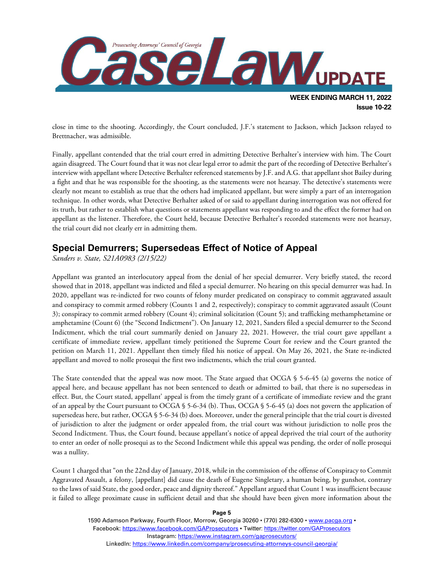

close in time to the shooting. Accordingly, the Court concluded, J.F.'s statement to Jackson, which Jackson relayed to Brettnacher, was admissible.

Finally, appellant contended that the trial court erred in admitting Detective Berhalter's interview with him. The Court again disagreed. The Court found that it was not clear legal error to admit the part of the recording of Detective Berhalter's interview with appellant where Detective Berhalter referenced statements by J.F. and A.G. that appellant shot Bailey during a fight and that he was responsible for the shooting, as the statements were not hearsay. The detective's statements were clearly not meant to establish as true that the others had implicated appellant, but were simply a part of an interrogation technique. In other words, what Detective Berhalter asked of or said to appellant during interrogation was not offered for its truth, but rather to establish what questions or statements appellant was responding to and the effect the former had on appellant as the listener. Therefore, the Court held, because Detective Berhalter's recorded statements were not hearsay, the trial court did not clearly err in admitting them.

### **Special Demurrers; Supersedeas Effect of Notice of Appeal**

*Sanders v. State, S21A0983 (2/15/22)*

Appellant was granted an interlocutory appeal from the denial of her special demurrer. Very briefly stated, the record showed that in 2018, appellant was indicted and filed a special demurrer. No hearing on this special demurrer was had. In 2020, appellant was re-indicted for two counts of felony murder predicated on conspiracy to commit aggravated assault and conspiracy to commit armed robbery (Counts 1 and 2, respectively); conspiracy to commit aggravated assault (Count 3); conspiracy to commit armed robbery (Count 4); criminal solicitation (Count 5); and trafficking methamphetamine or amphetamine (Count 6) (the "Second Indictment"). On January 12, 2021, Sanders filed a special demurrer to the Second Indictment, which the trial court summarily denied on January 22, 2021. However, the trial court gave appellant a certificate of immediate review, appellant timely petitioned the Supreme Court for review and the Court granted the petition on March 11, 2021. Appellant then timely filed his notice of appeal. On May 26, 2021, the State re-indicted appellant and moved to nolle prosequi the first two indictments, which the trial court granted.

The State contended that the appeal was now moot. The State argued that OCGA § 5-6-45 (a) governs the notice of appeal here, and because appellant has not been sentenced to death or admitted to bail, that there is no supersedeas in effect. But, the Court stated, appellant' appeal is from the timely grant of a certificate of immediate review and the grant of an appeal by the Court pursuant to OCGA § 5-6-34 (b). Thus, OCGA § 5-6-45 (a) does not govern the application of supersedeas here, but rather, OCGA § 5-6-34 (b) does. Moreover, under the general principle that the trial court is divested of jurisdiction to alter the judgment or order appealed from, the trial court was without jurisdiction to nolle pros the Second Indictment. Thus, the Court found, because appellant's notice of appeal deprived the trial court of the authority to enter an order of nolle prosequi as to the Second Indictment while this appeal was pending, the order of nolle prosequi was a nullity.

Count 1 charged that "on the 22nd day of January, 2018, while in the commission of the offense of Conspiracy to Commit Aggravated Assault, a felony, [appellant] did cause the death of Eugene Singletary, a human being, by gunshot, contrary to the laws of said State, the good order, peace and dignity thereof." Appellant argued that Count 1 was insufficient because it failed to allege proximate cause in sufficient detail and that she should have been given more information about the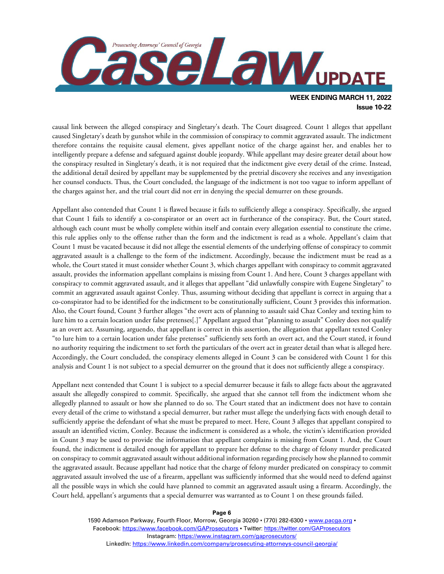

causal link between the alleged conspiracy and Singletary's death. The Court disagreed. Count 1 alleges that appellant caused Singletary's death by gunshot while in the commission of conspiracy to commit aggravated assault. The indictment therefore contains the requisite causal element, gives appellant notice of the charge against her, and enables her to intelligently prepare a defense and safeguard against double jeopardy. While appellant may desire greater detail about how the conspiracy resulted in Singletary's death, it is not required that the indictment give every detail of the crime. Instead, the additional detail desired by appellant may be supplemented by the pretrial discovery she receives and any investigation her counsel conducts. Thus, the Court concluded, the language of the indictment is not too vague to inform appellant of the charges against her, and the trial court did not err in denying the special demurrer on these grounds.

Appellant also contended that Count 1 is flawed because it fails to sufficiently allege a conspiracy. Specifically, she argued that Count 1 fails to identify a co-conspirator or an overt act in furtherance of the conspiracy. But, the Court stated, although each count must be wholly complete within itself and contain every allegation essential to constitute the crime, this rule applies only to the offense rather than the form and the indictment is read as a whole. Appellant's claim that Count 1 must be vacated because it did not allege the essential elements of the underlying offense of conspiracy to commit aggravated assault is a challenge to the form of the indictment. Accordingly, because the indictment must be read as a whole, the Court stated it must consider whether Count 3, which charges appellant with conspiracy to commit aggravated assault, provides the information appellant complains is missing from Count 1. And here, Count 3 charges appellant with conspiracy to commit aggravated assault, and it alleges that appellant "did unlawfully conspire with Eugene Singletary" to commit an aggravated assault against Conley. Thus, assuming without deciding that appellant is correct in arguing that a co-conspirator had to be identified for the indictment to be constitutionally sufficient, Count 3 provides this information. Also, the Court found, Count 3 further alleges "the overt acts of planning to assault said Chaz Conley and texting him to lure him to a certain location under false pretenses[.]" Appellant argued that "planning to assault" Conley does not qualify as an overt act. Assuming, arguendo, that appellant is correct in this assertion, the allegation that appellant texted Conley "to lure him to a certain location under false pretenses" sufficiently sets forth an overt act, and the Court stated, it found no authority requiring the indictment to set forth the particulars of the overt act in greater detail than what is alleged here. Accordingly, the Court concluded, the conspiracy elements alleged in Count 3 can be considered with Count 1 for this analysis and Count 1 is not subject to a special demurrer on the ground that it does not sufficiently allege a conspiracy.

Appellant next contended that Count 1 is subject to a special demurrer because it fails to allege facts about the aggravated assault she allegedly conspired to commit. Specifically, she argued that she cannot tell from the indictment whom she allegedly planned to assault or how she planned to do so. The Court stated that an indictment does not have to contain every detail of the crime to withstand a special demurrer, but rather must allege the underlying facts with enough detail to sufficiently apprise the defendant of what she must be prepared to meet. Here, Count 3 alleges that appellant conspired to assault an identified victim, Conley. Because the indictment is considered as a whole, the victim's identification provided in Count 3 may be used to provide the information that appellant complains is missing from Count 1. And, the Court found, the indictment is detailed enough for appellant to prepare her defense to the charge of felony murder predicated on conspiracy to commit aggravated assault without additional information regarding precisely how she planned to commit the aggravated assault. Because appellant had notice that the charge of felony murder predicated on conspiracy to commit aggravated assault involved the use of a firearm, appellant was sufficiently informed that she would need to defend against all the possible ways in which she could have planned to commit an aggravated assault using a firearm. Accordingly, the Court held, appellant's arguments that a special demurrer was warranted as to Count 1 on these grounds failed.

**Page 6**

1590 Adamson Parkway, Fourth Floor, Morrow, Georgia 30260 · (770) 282-6300 · [www.pacga.org](http://www.pacga.org/) · Facebook:<https://www.facebook.com/GAProsecutors> . Twitter[: https://twitter.com/GAProsecutors](https://twitter.com/GAProsecutors) Instagram[: https://www.instagram.com/gaprosecutors/](https://www.instagram.com/gaprosecutors/) LinkedIn:<https://www.linkedin.com/company/prosecuting-attorneys-council-georgia/>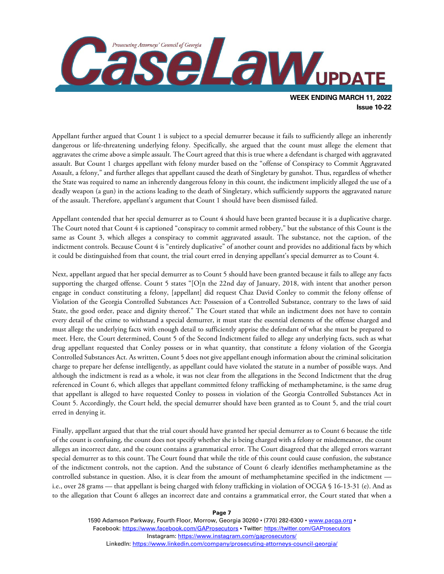

Appellant further argued that Count 1 is subject to a special demurrer because it fails to sufficiently allege an inherently dangerous or life-threatening underlying felony. Specifically, she argued that the count must allege the element that aggravates the crime above a simple assault. The Court agreed that this is true where a defendant is charged with aggravated assault. But Count 1 charges appellant with felony murder based on the "offense of Conspiracy to Commit Aggravated Assault, a felony," and further alleges that appellant caused the death of Singletary by gunshot. Thus, regardless of whether the State was required to name an inherently dangerous felony in this count, the indictment implicitly alleged the use of a deadly weapon (a gun) in the actions leading to the death of Singletary, which sufficiently supports the aggravated nature of the assault. Therefore, appellant's argument that Count 1 should have been dismissed failed.

Appellant contended that her special demurrer as to Count 4 should have been granted because it is a duplicative charge. The Court noted that Count 4 is captioned "conspiracy to commit armed robbery," but the substance of this Count is the same as Count 3, which alleges a conspiracy to commit aggravated assault. The substance, not the caption, of the indictment controls. Because Count 4 is "entirely duplicative" of another count and provides no additional facts by which it could be distinguished from that count, the trial court erred in denying appellant's special demurrer as to Count 4.

Next, appellant argued that her special demurrer as to Count 5 should have been granted because it fails to allege any facts supporting the charged offense. Count 5 states "[O]n the 22nd day of January, 2018, with intent that another person engage in conduct constituting a felony, [appellant] did request Chaz David Conley to commit the felony offense of Violation of the Georgia Controlled Substances Act: Possession of a Controlled Substance, contrary to the laws of said State, the good order, peace and dignity thereof." The Court stated that while an indictment does not have to contain every detail of the crime to withstand a special demurrer, it must state the essential elements of the offense charged and must allege the underlying facts with enough detail to sufficiently apprise the defendant of what she must be prepared to meet. Here, the Court determined, Count 5 of the Second Indictment failed to allege any underlying facts, such as what drug appellant requested that Conley possess or in what quantity, that constitute a felony violation of the Georgia Controlled Substances Act. As written, Count 5 does not give appellant enough information about the criminal solicitation charge to prepare her defense intelligently, as appellant could have violated the statute in a number of possible ways. And although the indictment is read as a whole, it was not clear from the allegations in the Second Indictment that the drug referenced in Count 6, which alleges that appellant committed felony trafficking of methamphetamine, is the same drug that appellant is alleged to have requested Conley to possess in violation of the Georgia Controlled Substances Act in Count 5. Accordingly, the Court held, the special demurrer should have been granted as to Count 5, and the trial court erred in denying it.

Finally, appellant argued that that the trial court should have granted her special demurrer as to Count 6 because the title of the count is confusing, the count does not specify whether she is being charged with a felony or misdemeanor, the count alleges an incorrect date, and the count contains a grammatical error. The Court disagreed that the alleged errors warrant special demurrer as to this count. The Court found that while the title of this count could cause confusion, the substance of the indictment controls, not the caption. And the substance of Count 6 clearly identifies methamphetamine as the controlled substance in question. Also, it is clear from the amount of methamphetamine specified in the indictment i.e., over 28 grams — that appellant is being charged with felony trafficking in violation of OCGA § 16-13-31 (e). And as to the allegation that Count 6 alleges an incorrect date and contains a grammatical error, the Court stated that when a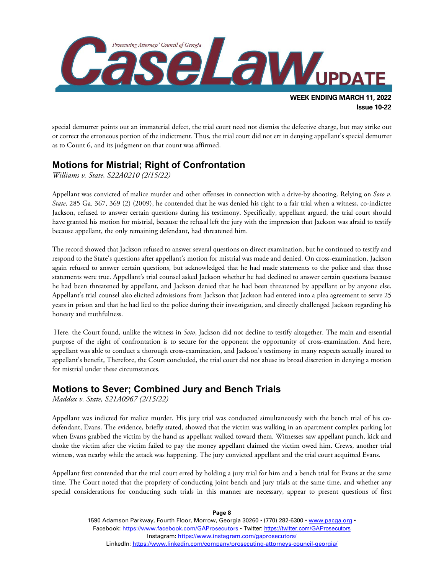

special demurrer points out an immaterial defect, the trial court need not dismiss the defective charge, but may strike out or correct the erroneous portion of the indictment. Thus, the trial court did not err in denying appellant's special demurrer as to Count 6, and its judgment on that count was affirmed.

### **Motions for Mistrial; Right of Confrontation**

*Williams v. State, S22A0210 (2/15/22)*

Appellant was convicted of malice murder and other offenses in connection with a drive-by shooting. Relying on *Soto v. State*, 285 Ga. 367, 369 (2) (2009), he contended that he was denied his right to a fair trial when a witness, co-indictee Jackson, refused to answer certain questions during his testimony. Specifically, appellant argued, the trial court should have granted his motion for mistrial, because the refusal left the jury with the impression that Jackson was afraid to testify because appellant, the only remaining defendant, had threatened him.

The record showed that Jackson refused to answer several questions on direct examination, but he continued to testify and respond to the State's questions after appellant's motion for mistrial was made and denied. On cross-examination, Jackson again refused to answer certain questions, but acknowledged that he had made statements to the police and that those statements were true. Appellant's trial counsel asked Jackson whether he had declined to answer certain questions because he had been threatened by appellant, and Jackson denied that he had been threatened by appellant or by anyone else. Appellant's trial counsel also elicited admissions from Jackson that Jackson had entered into a plea agreement to serve 25 years in prison and that he had lied to the police during their investigation, and directly challenged Jackson regarding his honesty and truthfulness.

Here, the Court found, unlike the witness in *Soto*, Jackson did not decline to testify altogether. The main and essential purpose of the right of confrontation is to secure for the opponent the opportunity of cross-examination. And here, appellant was able to conduct a thorough cross-examination, and Jackson's testimony in many respects actually inured to appellant's benefit, Therefore, the Court concluded, the trial court did not abuse its broad discretion in denying a motion for mistrial under these circumstances.

### **Motions to Sever; Combined Jury and Bench Trials**

*Maddox v. State, S21A0967 (2/15/22)*

Appellant was indicted for malice murder. His jury trial was conducted simultaneously with the bench trial of his codefendant, Evans. The evidence, briefly stated, showed that the victim was walking in an apartment complex parking lot when Evans grabbed the victim by the hand as appellant walked toward them. Witnesses saw appellant punch, kick and choke the victim after the victim failed to pay the money appellant claimed the victim owed him. Crews, another trial witness, was nearby while the attack was happening. The jury convicted appellant and the trial court acquitted Evans.

Appellant first contended that the trial court erred by holding a jury trial for him and a bench trial for Evans at the same time. The Court noted that the propriety of conducting joint bench and jury trials at the same time, and whether any special considerations for conducting such trials in this manner are necessary, appear to present questions of first

> 1590 Adamson Parkway, Fourth Floor, Morrow, Georgia 30260 · (770) 282-6300 · [www.pacga.org](http://www.pacga.org/) · Facebook:<https://www.facebook.com/GAProsecutors> . Twitter[: https://twitter.com/GAProsecutors](https://twitter.com/GAProsecutors) Instagram[: https://www.instagram.com/gaprosecutors/](https://www.instagram.com/gaprosecutors/) LinkedIn:<https://www.linkedin.com/company/prosecuting-attorneys-council-georgia/>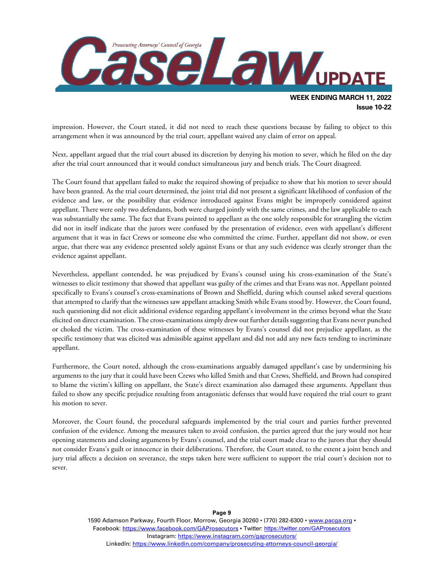

impression. However, the Court stated, it did not need to reach these questions because by failing to object to this arrangement when it was announced by the trial court, appellant waived any claim of error on appeal.

Next, appellant argued that the trial court abused its discretion by denying his motion to sever, which he filed on the day after the trial court announced that it would conduct simultaneous jury and bench trials. The Court disagreed.

The Court found that appellant failed to make the required showing of prejudice to show that his motion to sever should have been granted. As the trial court determined, the joint trial did not present a significant likelihood of confusion of the evidence and law, or the possibility that evidence introduced against Evans might be improperly considered against appellant. There were only two defendants, both were charged jointly with the same crimes, and the law applicable to each was substantially the same. The fact that Evans pointed to appellant as the one solely responsible for strangling the victim did not in itself indicate that the jurors were confused by the presentation of evidence, even with appellant's different argument that it was in fact Crews or someone else who committed the crime. Further, appellant did not show, or even argue, that there was any evidence presented solely against Evans or that any such evidence was clearly stronger than the evidence against appellant.

Nevertheless, appellant contended, he was prejudiced by Evans's counsel using his cross-examination of the State's witnesses to elicit testimony that showed that appellant was guilty of the crimes and that Evans was not. Appellant pointed specifically to Evans's counsel's cross-examinations of Brown and Sheffield, during which counsel asked several questions that attempted to clarify that the witnesses saw appellant attacking Smith while Evans stood by. However, the Court found, such questioning did not elicit additional evidence regarding appellant's involvement in the crimes beyond what the State elicited on direct examination. The cross-examinations simply drew out further details suggesting that Evans never punched or choked the victim. The cross-examination of these witnesses by Evans's counsel did not prejudice appellant, as the specific testimony that was elicited was admissible against appellant and did not add any new facts tending to incriminate appellant.

Furthermore, the Court noted, although the cross-examinations arguably damaged appellant's case by undermining his arguments to the jury that it could have been Crews who killed Smith and that Crews, Sheffield, and Brown had conspired to blame the victim's killing on appellant, the State's direct examination also damaged these arguments. Appellant thus failed to show any specific prejudice resulting from antagonistic defenses that would have required the trial court to grant his motion to sever.

Moreover, the Court found, the procedural safeguards implemented by the trial court and parties further prevented confusion of the evidence. Among the measures taken to avoid confusion, the parties agreed that the jury would not hear opening statements and closing arguments by Evans's counsel, and the trial court made clear to the jurors that they should not consider Evans's guilt or innocence in their deliberations. Therefore, the Court stated, to the extent a joint bench and jury trial affects a decision on severance, the steps taken here were sufficient to support the trial court's decision not to sever.

> 1590 Adamson Parkway, Fourth Floor, Morrow, Georgia 30260 · (770) 282-6300 · [www.pacga.org](http://www.pacga.org/) · Facebook:<https://www.facebook.com/GAProsecutors> . Twitter[: https://twitter.com/GAProsecutors](https://twitter.com/GAProsecutors) Instagram[: https://www.instagram.com/gaprosecutors/](https://www.instagram.com/gaprosecutors/) LinkedIn:<https://www.linkedin.com/company/prosecuting-attorneys-council-georgia/>